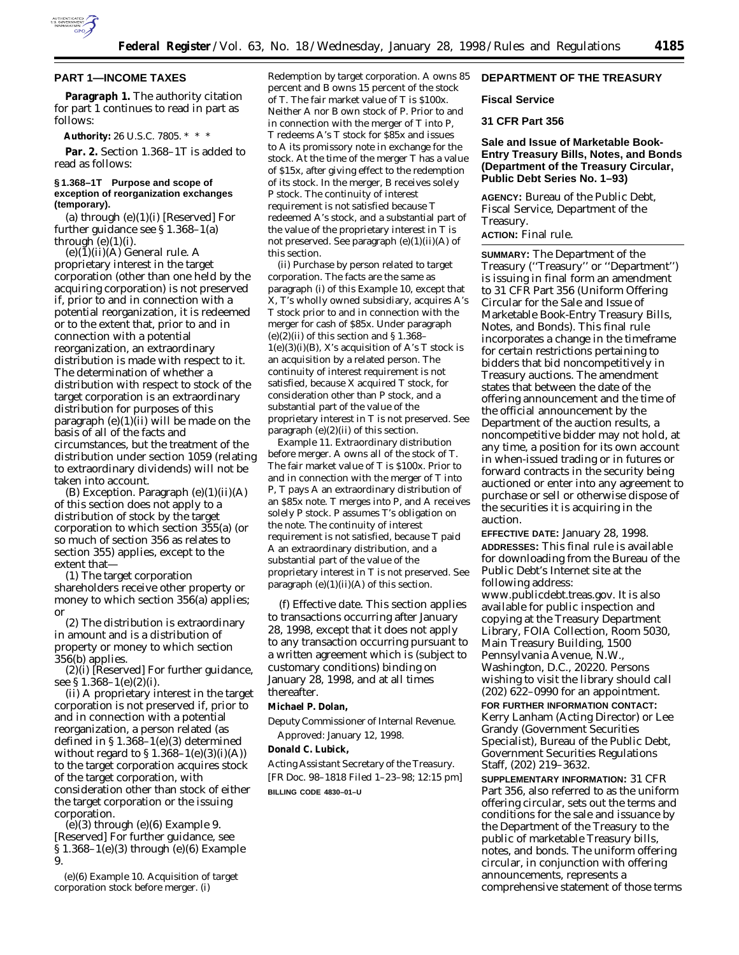

## **PART 1—INCOME TAXES**

Paragraph 1. The authority citation for part 1 continues to read in part as follows:

**Authority:** 26 U.S.C. 7805. \* \* \*

Par. 2. Section 1.368-1T is added to read as follows:

### **§ 1.368–1T Purpose and scope of exception of reorganization exchanges (temporary).**

(a) through (e)(1)(i) [Reserved] For further guidance see § 1.368–1(a) through  $(e)(1)(i)$ .

(e)(1)(ii)(A) *General rule.* A proprietary interest in the target corporation (other than one held by the acquiring corporation) is not preserved if, prior to and in connection with a potential reorganization, it is redeemed or to the extent that, prior to and in connection with a potential reorganization, an extraordinary distribution is made with respect to it. The determination of whether a distribution with respect to stock of the target corporation is an extraordinary distribution for purposes of this paragraph (e)(1)(ii) will be made on the basis of all of the facts and circumstances, but the treatment of the distribution under section 1059 (relating to extraordinary dividends) will not be taken into account.

(B) *Exception.* Paragraph (e)(1)(ii)(A) of this section does not apply to a distribution of stock by the target corporation to which section 355(a) (or so much of section 356 as relates to section 355) applies, except to the extent that—

(*1*) The target corporation shareholders receive other property or money to which section 356(a) applies; or

(*2*) The distribution is extraordinary in amount and is a distribution of property or money to which section 356(b) applies.

(2)(i) [Reserved] For further guidance, see § 1.368–1(e)(2)(i).

(ii) A proprietary interest in the target corporation is not preserved if, prior to and in connection with a potential reorganization, a person related (as defined in §  $1.368-1(e)(3)$  determined without regard to  $$1.368-1(e)(3)(i)(A))$ to the target corporation acquires stock of the target corporation, with consideration other than stock of either the target corporation or the issuing corporation.

(e)(3) through (e)(6) *Example 9.* [Reserved] For further guidance, see § 1.368–1(e)(3) through (e)(6) *Example 9.*

(e)(6) *Example 10. Acquisition of target corporation stock before merger.* (i)

*Redemption by target corporation.* A owns 85 percent and B owns 15 percent of the stock of T. The fair market value of T is \$100x. Neither A nor B own stock of P. Prior to and in connection with the merger of T into P, T redeems A's T stock for \$85x and issues to A its promissory note in exchange for the stock. At the time of the merger T has a value of \$15x, after giving effect to the redemption of its stock. In the merger, B receives solely P stock. The continuity of interest requirement is not satisfied because T redeemed A's stock, and a substantial part of the value of the proprietary interest in T is not preserved. See paragraph (e)(1)(ii)(A) of this section.

(ii) *Purchase by person related to target corporation.* The facts are the same as paragraph (i) of this *Example 10,* except that X, T's wholly owned subsidiary, acquires A's T stock prior to and in connection with the merger for cash of \$85x. Under paragraph  $(e)(2)(ii)$  of this section and § 1.368–  $1(e)(3)(i)(B)$ , X's acquisition of A's T stock is an acquisition by a related person. The continuity of interest requirement is not satisfied, because X acquired T stock, for consideration other than P stock, and a substantial part of the value of the proprietary interest in T is not preserved. See paragraph (e)(2)(ii) of this section.

*Example 11. Extraordinary distribution before merger.* A owns all of the stock of T. The fair market value of T is \$100x. Prior to and in connection with the merger of T into P, T pays A an extraordinary distribution of an \$85x note. T merges into P, and A receives solely P stock. P assumes T's obligation on the note. The continuity of interest requirement is not satisfied, because T paid A an extraordinary distribution, and a substantial part of the value of the proprietary interest in T is not preserved. See paragraph  $(e)(1)(ii)(A)$  of this section.

(f) *Effective date.* This section applies to transactions occurring after January 28, 1998, except that it does not apply to any transaction occurring pursuant to a written agreement which is (subject to customary conditions) binding on January 28, 1998, and at all times thereafter.

## **Michael P. Dolan,**

*Deputy Commissioner of Internal Revenue.* Approved: January 12, 1998.

#### **Donald C. Lubick,**

*Acting Assistant Secretary of the Treasury.* [FR Doc. 98–1818 Filed 1–23–98; 12:15 pm] **BILLING CODE 4830–01–U**

# **DEPARTMENT OF THE TREASURY**

# **Fiscal Service**

# **31 CFR Part 356**

## **Sale and Issue of Marketable Book-Entry Treasury Bills, Notes, and Bonds (Department of the Treasury Circular, Public Debt Series No. 1–93)**

**AGENCY:** Bureau of the Public Debt, Fiscal Service, Department of the Treasury.

# **ACTION:** Final rule.

**SUMMARY:** The Department of the Treasury (''Treasury'' or ''Department'') is issuing in final form an amendment to 31 CFR Part 356 (Uniform Offering Circular for the Sale and Issue of Marketable Book-Entry Treasury Bills, Notes, and Bonds). This final rule incorporates a change in the timeframe for certain restrictions pertaining to bidders that bid noncompetitively in Treasury auctions. The amendment states that between the date of the offering announcement and the time of the official announcement by the Department of the auction results, a noncompetitive bidder may not hold, at any time, a position for its own account in when-issued trading or in futures or forward contracts in the security being auctioned or enter into any agreement to purchase or sell or otherwise dispose of the securities it is acquiring in the auction.

**EFFECTIVE DATE:** January 28, 1998. **ADDRESSES:** This final rule is available for downloading from the Bureau of the Public Debt's Internet site at the following address:

www.publicdebt.treas.gov. It is also available for public inspection and copying at the Treasury Department Library, FOIA Collection, Room 5030, Main Treasury Building, 1500 Pennsylvania Avenue, N.W., Washington, D.C., 20220. Persons wishing to visit the library should call (202) 622–0990 for an appointment.

# **FOR FURTHER INFORMATION CONTACT:** Kerry Lanham (Acting Director) or Lee Grandy (Government Securities Specialist), Bureau of the Public Debt, Government Securities Regulations Staff, (202) 219–3632.

**SUPPLEMENTARY INFORMATION:** 31 CFR Part 356, also referred to as the uniform offering circular, sets out the terms and conditions for the sale and issuance by the Department of the Treasury to the public of marketable Treasury bills, notes, and bonds. The uniform offering circular, in conjunction with offering announcements, represents a comprehensive statement of those terms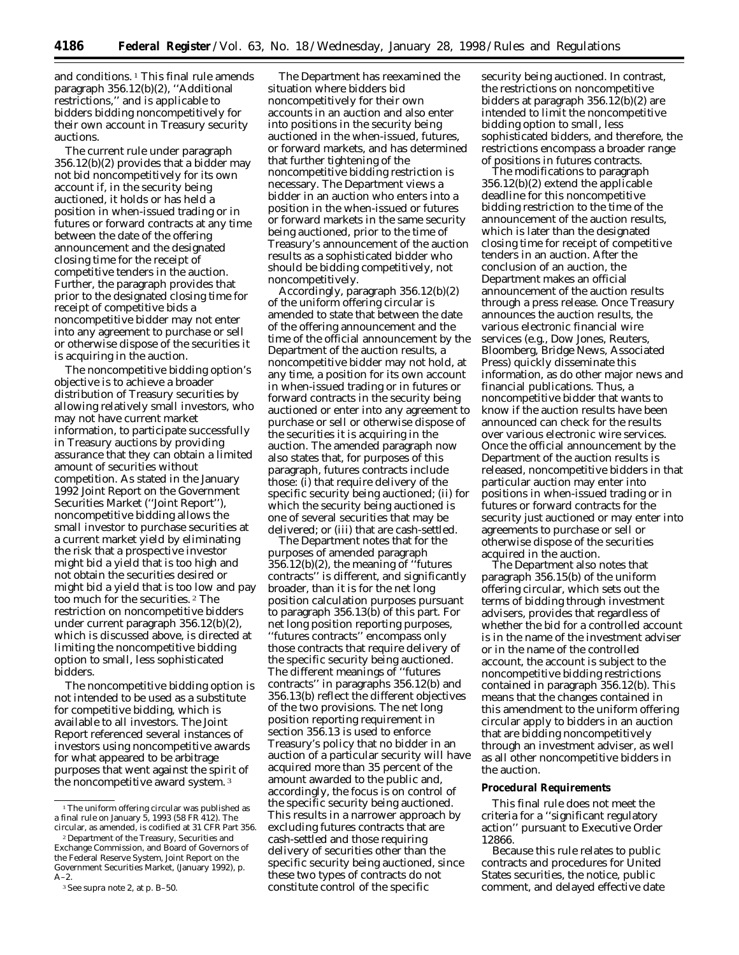and conditions.<sup>1</sup> This final rule amends paragraph 356.12(b)(2), ''Additional restrictions,'' and is applicable to bidders bidding noncompetitively for their own account in Treasury security auctions.

The current rule under paragraph 356.12(b)(2) provides that a bidder may not bid noncompetitively for its own account if, in the security being auctioned, it holds or has held a position in when-issued trading or in futures or forward contracts at any time between the date of the offering announcement and the designated closing time for the receipt of competitive tenders in the auction. Further, the paragraph provides that prior to the designated closing time for receipt of competitive bids a noncompetitive bidder may not enter into any agreement to purchase or sell or otherwise dispose of the securities it is acquiring in the auction.

The noncompetitive bidding option's objective is to achieve a broader distribution of Treasury securities by allowing relatively small investors, who may not have current market information, to participate successfully in Treasury auctions by providing assurance that they can obtain a limited amount of securities without competition. As stated in the January 1992 *Joint Report on the Government Securities Market* (''Joint Report''), noncompetitive bidding allows the small investor to purchase securities at a current market yield by eliminating the risk that a prospective investor might bid a yield that is too high and not obtain the securities desired or might bid a yield that is too low and pay too much for the securities. 2 The restriction on noncompetitive bidders under current paragraph 356.12(b)(2), which is discussed above, is directed at limiting the noncompetitive bidding option to small, less sophisticated bidders.

The noncompetitive bidding option is not intended to be used as a substitute for competitive bidding, which is available to all investors. The Joint Report referenced several instances of investors using noncompetitive awards for what appeared to be arbitrage purposes that went against the spirit of the noncompetitive award system. 3

The Department has reexamined the situation where bidders bid noncompetitively for their own accounts in an auction and also enter into positions in the security being auctioned in the when-issued, futures, or forward markets, and has determined that further tightening of the noncompetitive bidding restriction is necessary. The Department views a bidder in an auction who enters into a position in the when-issued or futures or forward markets in the same security being auctioned, prior to the time of Treasury's announcement of the auction results as a sophisticated bidder who should be bidding competitively, not noncompetitively.

Accordingly, paragraph 356.12(b)(2) of the uniform offering circular is amended to state that between the date of the offering announcement and the time of the official announcement by the Department of the auction results, a noncompetitive bidder may not hold, at any time, a position for its own account in when-issued trading or in futures or forward contracts in the security being auctioned or enter into any agreement to purchase or sell or otherwise dispose of the securities it is acquiring in the auction. The amended paragraph now also states that, for purposes of this paragraph, futures contracts include those: (i) that require delivery of the specific security being auctioned; (ii) for which the security being auctioned is one of several securities that may be delivered; or (iii) that are cash-settled.

The Department notes that for the purposes of amended paragraph 356.12(b)(2), the meaning of ''futures contracts'' is different, and significantly broader, than it is for the net long position calculation purposes pursuant to paragraph 356.13(b) of this part. For net long position reporting purposes, ''futures contracts'' encompass only those contracts that require delivery of the specific security being auctioned. The different meanings of ''futures contracts'' in paragraphs 356.12(b) and 356.13(b) reflect the different objectives of the two provisions. The net long position reporting requirement in section 356.13 is used to enforce Treasury's policy that no bidder in an auction of a particular security will have acquired more than 35 percent of the amount awarded to the public and, accordingly, the focus is on control of the specific security being auctioned. This results in a narrower approach by excluding futures contracts that are cash-settled and those requiring delivery of securities other than the specific security being auctioned, since these two types of contracts do not constitute control of the specific

security being auctioned. In contrast, the restrictions on noncompetitive bidders at paragraph 356.12(b)(2) are intended to limit the noncompetitive bidding option to small, less sophisticated bidders, and therefore, the restrictions encompass a broader range of positions in futures contracts.

The modifications to paragraph 356.12(b)(2) extend the applicable deadline for this noncompetitive bidding restriction to the time of the announcement of the auction results, which is later than the designated closing time for receipt of competitive tenders in an auction. After the conclusion of an auction, the Department makes an official announcement of the auction results through a press release. Once Treasury announces the auction results, the various electronic financial wire services (e.g., Dow Jones, Reuters, Bloomberg, Bridge News, Associated Press) quickly disseminate this information, as do other major news and financial publications. Thus, a noncompetitive bidder that wants to know if the auction results have been announced can check for the results over various electronic wire services. Once the official announcement by the Department of the auction results is released, noncompetitive bidders in that particular auction may enter into positions in when-issued trading or in futures or forward contracts for the security just auctioned or may enter into agreements to purchase or sell or otherwise dispose of the securities acquired in the auction.

The Department also notes that paragraph 356.15(b) of the uniform offering circular, which sets out the terms of bidding through investment advisers, provides that regardless of whether the bid for a controlled account is in the name of the investment adviser or in the name of the controlled account, the account is subject to the noncompetitive bidding restrictions contained in paragraph 356.12(b). This means that the changes contained in this amendment to the uniform offering circular apply to bidders in an auction that are bidding noncompetitively through an investment adviser, as well as all other noncompetitive bidders in the auction.

### **Procedural Requirements**

This final rule does not meet the criteria for a ''significant regulatory action'' pursuant to Executive Order 12866.

Because this rule relates to public contracts and procedures for United States securities, the notice, public comment, and delayed effective date

<sup>&</sup>lt;sup>1</sup>The uniform offering circular was published as a final rule on January 5, 1993 (58 FR 412). The circular, as amended, is codified at 31 CFR Part 356.

<sup>2</sup> Department of the Treasury, Securities and Exchange Commission, and Board of Governors of the Federal Reserve System, *Joint Report on the Government Securities Market,* (January 1992), p.  $A-2$ .

<sup>3</sup>*See supra* note 2, at p. B–50.